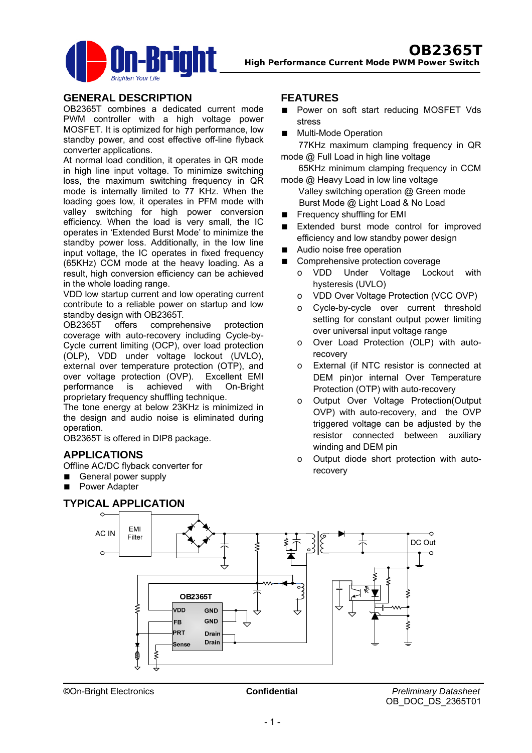

# **GENERAL DESCRIPTION**

OB2365T combines a dedicated current mode PWM controller with a high voltage power MOSFET. It is optimized for high performance, low standby power, and cost effective off-line flyback converter applications.

At normal load condition, it operates in QR mode in high line input voltage. To minimize switching loss, the maximum switching frequency in QR mode is internally limited to 77 KHz. When the loading goes low, it operates in PFM mode with valley switching for high power conversion efficiency. When the load is very small, the IC operates in 'Extended Burst Mode' to minimize the standby power loss. Additionally, in the low line input voltage, the IC operates in fixed frequency (65KHz) CCM mode at the heavy loading. As a result, high conversion efficiency can be achieved in the whole loading range.

VDD low startup current and low operating current contribute to a reliable power on startup and low standby design with OB2365T.

OB2365T offers comprehensive protection coverage with auto-recovery including Cycle-by-Cycle current limiting (OCP), over load protection (OLP), VDD under voltage lockout (UVLO), external over temperature protection (OTP), and over voltage protection (OVP). Excellent EMI performance is achieved with On-Bright proprietary frequency shuffling technique.

The tone energy at below 23KHz is minimized in the design and audio noise is eliminated during operation.

OB2365T is offered in DIP8 package.

## **APPLICATIONS**

Offline AC/DC flyback converter for

- General power supply
- Power Adapter

## **TYPICAL APPLICATION**

## **FEATURES**

- Power on soft start reducing MOSFET Vds stress
- **Multi-Mode Operation**

77KHz maximum clamping frequency in QR mode @ Full Load in high line voltage

65KHz minimum clamping frequency in CCM mode @ Heavy Load in low line voltage

Valley switching operation @ Green mode Burst Mode @ Light Load & No Load

- Frequency shuffling for EMI
- Extended burst mode control for improved efficiency and low standby power design
- Audio noise free operation
- Comprehensive protection coverage
	- o VDD Under Voltage Lockout with hysteresis (UVLO)
	- o VDD Over Voltage Protection (VCC OVP)
	- Cycle-by-cycle over current threshold setting for constant output power limiting over universal input voltage range
	- o Over Load Protection (OLP) with autorecovery
	- o External (if NTC resistor is connected at DEM pin)or internal Over Temperature Protection (OTP) with auto-recovery
	- o Output Over Voltage Protection(Output OVP) with auto-recovery, and the OVP triggered voltage can be adjusted by the resistor connected between auxiliary winding and DEM pin
	- Output diode short protection with autorecovery



©On-Bright Electronics **Confidential** *Preliminary Datasheet* OB\_DOC\_DS\_2365T01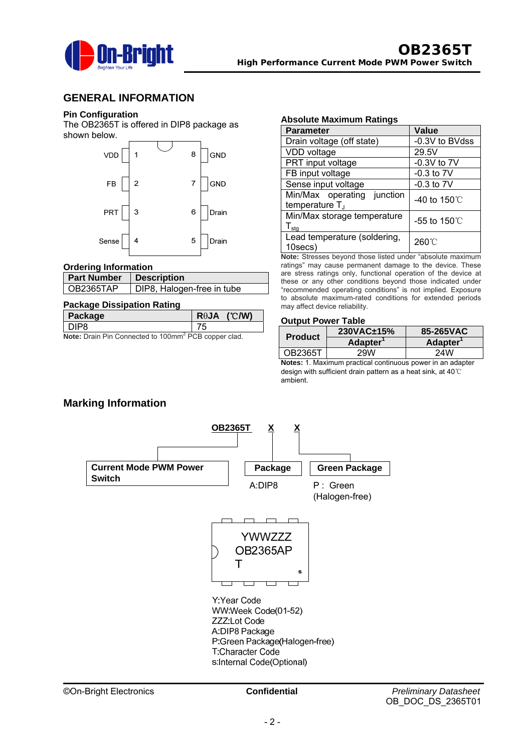

# **GENERAL INFORMATION**

## **Pin Configuration**

The OB2365T is offered in DIP8 package as shown below.



## **Ordering Information**

| <b>Part Number</b> | Description                |  |  |
|--------------------|----------------------------|--|--|
| OB2365TAP          | DIP8, Halogen-free in tube |  |  |

#### **Package Dissipation Rating**

| Package | $R\theta$ JA (°C/W) |
|---------|---------------------|
| )IP8    | ט'                  |
|         |                     |

Note: Drain Pin Connected to 100mm<sup>2</sup> PCB copper clad.

#### **Absolute Maximum Ratings**

| <b>Parameter</b>                                                 | <b>Value</b>           |  |  |
|------------------------------------------------------------------|------------------------|--|--|
| Drain voltage (off state)                                        | -0.3V to BVdss         |  |  |
| VDD voltage                                                      | 29.5V                  |  |  |
| PRT input voltage                                                | $-0.3V$ to $7V$        |  |  |
| FB input voltage                                                 | $-0.3$ to $7V$         |  |  |
| Sense input voltage                                              | $-0.3$ to $7V$         |  |  |
| Min/Max operating<br>junction<br>temperature $T_J$               | -40 to 150 $\degree$ C |  |  |
| Min/Max storage temperature<br>$\Gamma_{\underline{\text{stg}}}$ | -55 to 150°C           |  |  |
| Lead temperature (soldering,<br>$10$ secs $)$                    | 260°C                  |  |  |

**Note:** Stresses beyond those listed under "absolute maximum ratings" may cause permanent damage to the device. These are stress ratings only, functional operation of the device at these or any other conditions beyond those indicated under "recommended operating conditions" is not implied. Exposure to absolute maximum-rated conditions for extended periods may affect device reliability.

## **Output Power Table**

|                | 230VAC±15%     | 85-265VAC      |  |
|----------------|----------------|----------------|--|
| <b>Product</b> | <b>Adapter</b> | <b>Adapter</b> |  |
| OB2365T        | 29W            | 24W            |  |

**Notes:** 1. Maximum practical continuous power in an adapter design with sufficient drain pattern as a heat sink, at 40℃ ambient.

# **Marking Information**

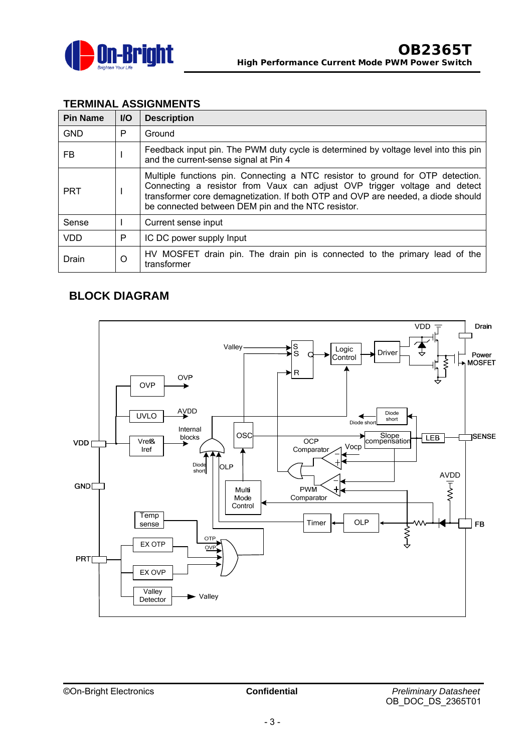

# **TERMINAL ASSIGNMENTS**

| <b>Pin Name</b> | <b>I/O</b> | <b>Description</b>                                                                                                                                                                                                                                                                                    |
|-----------------|------------|-------------------------------------------------------------------------------------------------------------------------------------------------------------------------------------------------------------------------------------------------------------------------------------------------------|
| <b>GND</b>      | P          | Ground                                                                                                                                                                                                                                                                                                |
| FB              |            | Feedback input pin. The PWM duty cycle is determined by voltage level into this pin<br>and the current-sense signal at Pin 4                                                                                                                                                                          |
| <b>PRT</b>      |            | Multiple functions pin. Connecting a NTC resistor to ground for OTP detection.<br>Connecting a resistor from Vaux can adjust OVP trigger voltage and detect<br>transformer core demagnetization. If both OTP and OVP are needed, a diode should<br>be connected between DEM pin and the NTC resistor. |
| Sense           |            | Current sense input                                                                                                                                                                                                                                                                                   |
| <b>VDD</b>      | P          | IC DC power supply Input                                                                                                                                                                                                                                                                              |
| Drain           | Ω          | HV MOSFET drain pin. The drain pin is connected to the primary lead of the<br>transformer                                                                                                                                                                                                             |

# **BLOCK DIAGRAM**

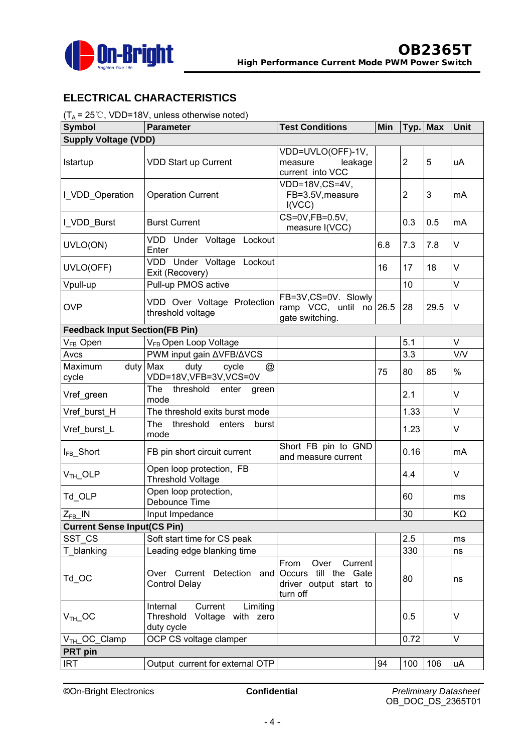

# **ELECTRICAL CHARACTERISTICS**

 $(T_A = 25^{\circ}C, VDD=18V,$  unless otherwise noted)

| <b>Symbol</b>                         | <b>Parameter</b>                                                                | Min                                                                                   |     | Typ. Max       | Unit |              |  |  |
|---------------------------------------|---------------------------------------------------------------------------------|---------------------------------------------------------------------------------------|-----|----------------|------|--------------|--|--|
| <b>Supply Voltage (VDD)</b>           |                                                                                 |                                                                                       |     |                |      |              |  |  |
| Istartup                              | <b>VDD Start up Current</b>                                                     | VDD=UVLO(OFF)-1V,<br>leakage<br>measure<br>current into VCC                           |     | $\overline{2}$ | 5    | uA           |  |  |
| I_VDD_Operation                       | <b>Operation Current</b>                                                        | VDD=18V,CS=4V,<br>FB=3.5V, measure<br>I(VCC)                                          |     | $\overline{2}$ | 3    | mA           |  |  |
| I_VDD_Burst                           | <b>Burst Current</b>                                                            | CS=0V,FB=0.5V,<br>measure I(VCC)                                                      |     | 0.3            | 0.5  | mA           |  |  |
| UVLO(ON)                              | VDD Under Voltage Lockout<br>Enter                                              |                                                                                       | 6.8 | 7.3            | 7.8  | $\sf V$      |  |  |
| UVLO(OFF)                             | VDD Under Voltage Lockout<br>Exit (Recovery)                                    |                                                                                       | 16  | 17             | 18   | $\vee$       |  |  |
| Vpull-up                              | Pull-up PMOS active                                                             |                                                                                       |     | 10             |      | $\mathsf{V}$ |  |  |
| <b>OVP</b>                            | VDD Over Voltage Protection<br>threshold voltage                                | FB=3V,CS=0V. Slowly<br>ramp VCC, until no 26.5<br>gate switching.                     |     | 28             | 29.5 | $\vee$       |  |  |
| <b>Feedback Input Section(FB Pin)</b> |                                                                                 |                                                                                       |     |                |      |              |  |  |
| V <sub>FB</sub> Open                  | V <sub>FB</sub> Open Loop Voltage                                               |                                                                                       |     | 5.1            |      | $\vee$       |  |  |
| Avcs                                  | PWM input gain $\triangle VFB/\triangle VCS$                                    |                                                                                       |     | 3.3            |      | <b>V/V</b>   |  |  |
| Maximum<br>duty<br>cycle              | Max<br>duty<br>cycle<br>@<br>VDD=18V,VFB=3V,VCS=0V                              |                                                                                       | 75  | 80             | 85   | $\%$         |  |  |
| Vref_green                            | threshold<br><b>The</b><br>enter<br>green<br>mode                               |                                                                                       |     | 2.1            |      | $\vee$       |  |  |
| Vref_burst_H                          | The threshold exits burst mode                                                  |                                                                                       |     | 1.33           |      | $\vee$       |  |  |
| Vref_burst_L                          | threshold<br><b>The</b><br>enters<br>burst<br>mode                              |                                                                                       |     | 1.23           |      | $\vee$       |  |  |
| I <sub>FB</sub> _Short                | FB pin short circuit current                                                    | Short FB pin to GND<br>and measure current                                            |     | 0.16           |      | mA           |  |  |
| $VTH$ OLP                             | Open loop protection, FB<br><b>Threshold Voltage</b>                            |                                                                                       |     | 4.4            |      | $\vee$       |  |  |
| Td_OLP                                | Open loop protection,<br>Debounce Time                                          |                                                                                       |     | 60             |      | ms           |  |  |
| $Z_{FB}$ _IN                          | Input Impedance                                                                 |                                                                                       |     | 30             |      | KΩ           |  |  |
| <b>Current Sense Input(CS Pin)</b>    |                                                                                 |                                                                                       |     |                |      |              |  |  |
| SST CS                                | Soft start time for CS peak                                                     |                                                                                       |     | 2.5            |      | ms           |  |  |
| T_blanking                            | Leading edge blanking time                                                      |                                                                                       |     | 330            |      | ns           |  |  |
| Td_OC                                 | Over Current Detection and<br><b>Control Delay</b>                              | From<br>Current<br>Over<br>Occurs till the Gate<br>driver output start to<br>turn off |     | 80             |      | ns           |  |  |
| $VTH$ OC                              | Internal<br>Current<br>Limiting<br>Threshold<br>Voltage with zero<br>duty cycle |                                                                                       |     | 0.5            |      | $\vee$       |  |  |
| V <sub>TH</sub> _OC_Clamp             | OCP CS voltage clamper                                                          |                                                                                       |     | 0.72           |      | $\vee$       |  |  |
| PRT pin                               |                                                                                 |                                                                                       |     |                |      |              |  |  |
| <b>IRT</b>                            | Output current for external OTP                                                 |                                                                                       | 94  | 100            | 106  | uA           |  |  |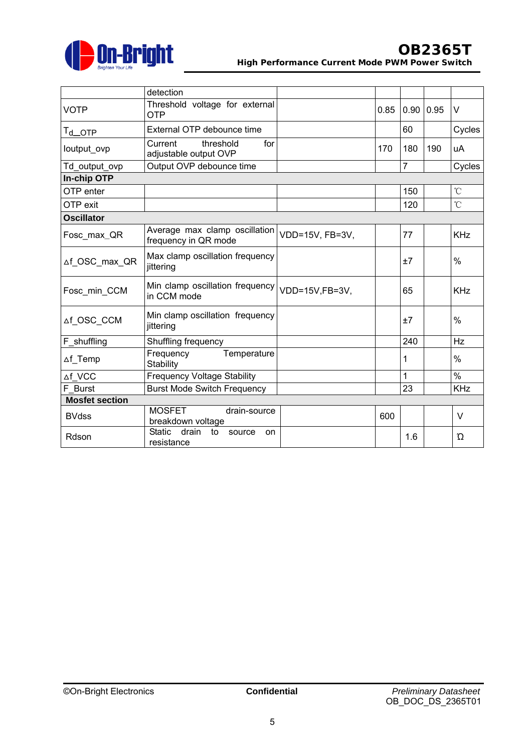

|                                | detection                                                  |                 |      |                |      |                 |
|--------------------------------|------------------------------------------------------------|-----------------|------|----------------|------|-----------------|
| <b>VOTP</b>                    | Threshold voltage for external<br><b>OTP</b>               |                 | 0.85 | 0.90           | 0.95 | V               |
| $\mathsf{T}_{\mathsf{d\_OTP}}$ | External OTP debounce time                                 |                 |      | 60             |      | Cycles          |
| loutput_ovp                    | Current<br>threshold<br>for<br>adjustable output OVP       |                 | 170  | 180            | 190  | uA              |
| Td output ovp                  | Output OVP debounce time                                   |                 |      | $\overline{7}$ |      | Cycles          |
| In-chip OTP                    |                                                            |                 |      |                |      |                 |
| OTP enter                      |                                                            |                 |      | 150            |      | $\rm ^{\circ}C$ |
| OTP exit                       |                                                            |                 |      | 120            |      | $\rm ^{\circ}C$ |
| <b>Oscillator</b>              |                                                            |                 |      |                |      |                 |
| Fosc max_QR                    | Average max clamp oscillation<br>frequency in QR mode      | VDD=15V, FB=3V, |      | 77             |      | <b>KHz</b>      |
| ∆f_OSC_max_QR                  | Max clamp oscillation frequency<br>jittering               |                 |      | ±7             |      | %               |
| Fosc min CCM                   | Min clamp oscillation frequency<br>in CCM mode             | VDD=15V,FB=3V,  |      | 65             |      | <b>KHz</b>      |
| ∆f OSC CCM                     | Min clamp oscillation frequency<br>jittering               |                 |      | ±7             |      | $\%$            |
| F_shuffling                    | Shuffling frequency                                        |                 |      | 240            |      | Hz              |
| ∆f_Temp                        | Frequency<br>Temperature<br>Stability                      |                 |      | 1              |      | $\%$            |
| ∆f VCC                         | <b>Frequency Voltage Stability</b>                         |                 |      | 1              |      | $\frac{0}{0}$   |
| F Burst                        | <b>Burst Mode Switch Frequency</b>                         |                 |      | 23             |      | <b>KHz</b>      |
| <b>Mosfet section</b>          |                                                            |                 |      |                |      |                 |
| <b>BVdss</b>                   | <b>MOSFET</b><br>drain-source<br>breakdown voltage         |                 | 600  |                |      | $\vee$          |
| Rdson                          | <b>Static</b><br>drain<br>to<br>source<br>on<br>resistance |                 |      | 1.6            |      | Ώ               |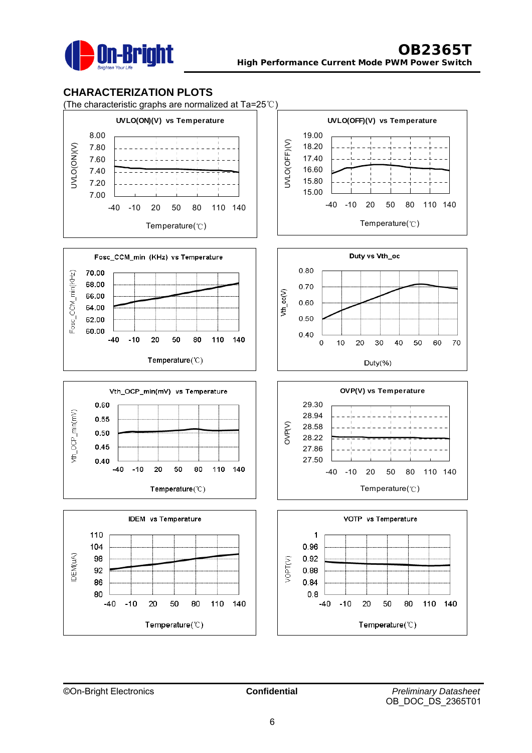

# **CHARACTERIZATION PLOTS**

(The characteristic graphs are normalized at Ta=25℃)

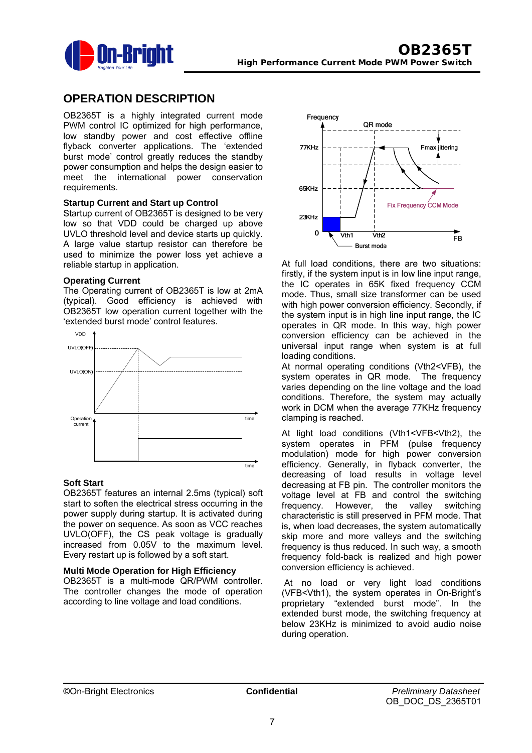

# **OPERATION DESCRIPTION**

OB2365T is a highly integrated current mode PWM control IC optimized for high performance, low standby power and cost effective offline flyback converter applications. The 'extended burst mode' control greatly reduces the standby power consumption and helps the design easier to meet the international power conservation requirements.

## **Startup Current and Start up Control**

Startup current of OB2365T is designed to be very low so that VDD could be charged up above UVLO threshold level and device starts up quickly. A large value startup resistor can therefore be used to minimize the power loss yet achieve a reliable startup in application.

#### **Operating Current**

The Operating current of OB2365T is low at 2mA (typical). Good efficiency is achieved with OB2365T low operation current together with the 'extended burst mode' control features.



## **Soft Start**

OB2365T features an internal 2.5ms (typical) soft start to soften the electrical stress occurring in the power supply during startup. It is activated during the power on sequence. As soon as VCC reaches UVLO(OFF), the CS peak voltage is gradually increased from 0.05V to the maximum level. Every restart up is followed by a soft start.

#### **Multi Mode Operation for High Efficiency**

OB2365T is a multi-mode QR/PWM controller. The controller changes the mode of operation according to line voltage and load conditions.



At full load conditions, there are two situations: firstly, if the system input is in low line input range, the IC operates in 65K fixed frequency CCM mode. Thus, small size transformer can be used with high power conversion efficiency. Secondly, if the system input is in high line input range, the IC operates in QR mode. In this way, high power conversion efficiency can be achieved in the universal input range when system is at full loading conditions.

At normal operating conditions (Vth2<VFB), the system operates in QR mode. The frequency varies depending on the line voltage and the load conditions. Therefore, the system may actually work in DCM when the average 77KHz frequency clamping is reached.

At light load conditions (Vth1<VFB<Vth2), the system operates in PFM (pulse frequency modulation) mode for high power conversion efficiency. Generally, in flyback converter, the decreasing of load results in voltage level decreasing at FB pin. The controller monitors the voltage level at FB and control the switching frequency. However, the valley switching characteristic is still preserved in PFM mode. That is, when load decreases, the system automatically skip more and more valleys and the switching frequency is thus reduced. In such way, a smooth frequency fold-back is realized and high power conversion efficiency is achieved.

 At no load or very light load conditions (VFB<Vth1), the system operates in On-Bright's proprietary "extended burst mode". In the extended burst mode, the switching frequency at below 23KHz is minimized to avoid audio noise during operation.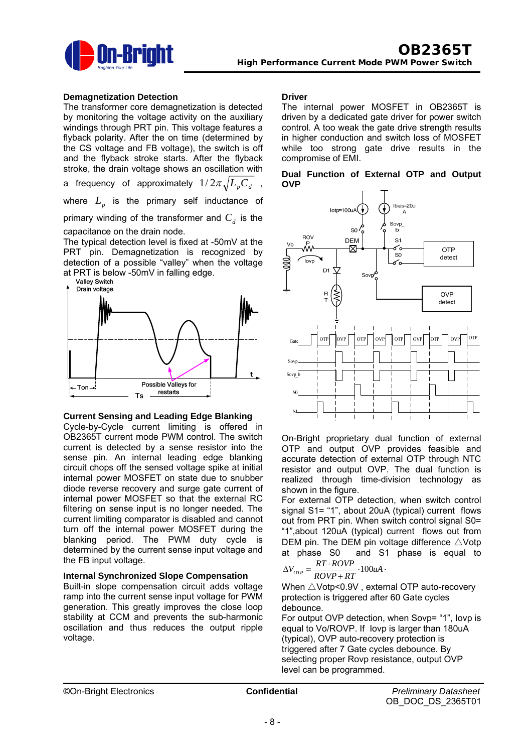

## **Demagnetization Detection**

The transformer core demagnetization is detected by monitoring the voltage activity on the auxiliary windings through PRT pin. This voltage features a flyback polarity. After the on time (determined by the CS voltage and FB voltage), the switch is off and the flyback stroke starts. After the flyback stroke, the drain voltage shows an oscillation with

a frequency of approximately  $1/2\pi\sqrt{L_nC_d}$ ,

where  $L_p$  is the primary self inductance of

primary winding of the transformer and  $C_d$  is the capacitance on the drain node.

The typical detection level is fixed at -50mV at the PRT pin. Demagnetization is recognized by detection of a possible "valley" when the voltage at PRT is below -50mV in falling edge.



#### **Current Sensing and Leading Edge Blanking**

Cycle-by-Cycle current limiting is offered in OB2365T current mode PWM control. The switch current is detected by a sense resistor into the sense pin. An internal leading edge blanking circuit chops off the sensed voltage spike at initial internal power MOSFET on state due to snubber diode reverse recovery and surge gate current of internal power MOSFET so that the external RC filtering on sense input is no longer needed. The current limiting comparator is disabled and cannot turn off the internal power MOSFET during the blanking period. The PWM duty cycle is determined by the current sense input voltage and the FB input voltage.

#### **Internal Synchronized Slope Compensation**

Built-in slope compensation circuit adds voltage ramp into the current sense input voltage for PWM generation. This greatly improves the close loop stability at CCM and prevents the sub-harmonic oscillation and thus reduces the output ripple voltage.

## **Driver**

The internal power MOSFET in OB2365T is driven by a dedicated gate driver for power switch control. A too weak the gate drive strength results in higher conduction and switch loss of MOSFET while too strong gate drive results in the compromise of EMI.

|            | Dual Function of External OTP and Output |  |  |  |
|------------|------------------------------------------|--|--|--|
| <b>OVP</b> |                                          |  |  |  |



On-Bright proprietary dual function of external OTP and output OVP provides feasible and accurate detection of external OTP through NTC resistor and output OVP. The dual function is realized through time-division technology as shown in the figure.

For external OTP detection, when switch control signal S1= "1", about 20uA (typical) current flows out from PRT pin. When switch control signal S0= "1",about 120uA (typical) current flows out from DEM pin. The DEM pin voltage difference  $\triangle$ Votp at phase S0 and S1 phase is equal to

$$
\Delta V_{orp} = \frac{RT \cdot ROVP}{ROVP + RT} \cdot 100uA \cdot
$$

When △Votp<0.9V , external OTP auto-recovery protection is triggered after 60 Gate cycles debounce.

For output OVP detection, when Sovp= "1", Iovp is equal to Vo/ROVP. If Iovp is larger than 180uA (typical), OVP auto-recovery protection is triggered after 7 Gate cycles debounce. By selecting proper Rovp resistance, output OVP level can be programmed.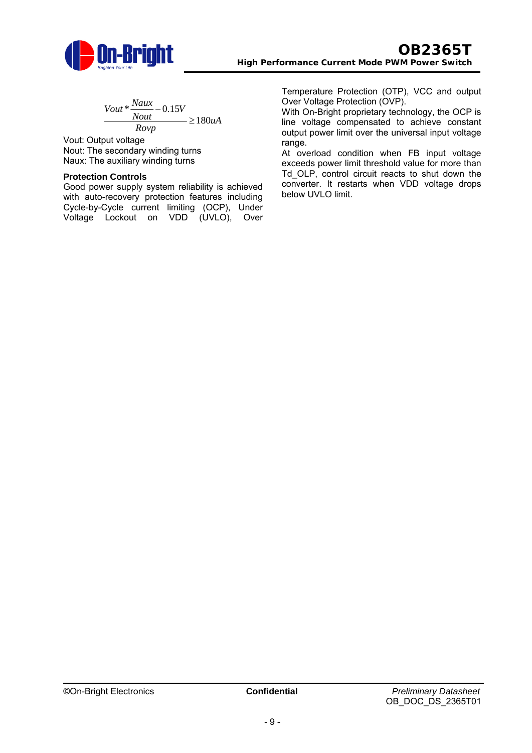

$$
\frac{Vout * \frac{Naux}{Nout} - 0.15V}{Rovp} \ge 180uA
$$

Vout: Output voltage Nout: The secondary winding turns Naux: The auxiliary winding turns

## **Protection Controls**

Good power supply system reliability is achieved with auto-recovery protection features including Cycle-by-Cycle current limiting (OCP), Under Voltage Lockout on VDD (UVLO), Over

Temperature Protection (OTP), VCC and output Over Voltage Protection (OVP).

With On-Bright proprietary technology, the OCP is line voltage compensated to achieve constant output power limit over the universal input voltage range.

At overload condition when FB input voltage exceeds power limit threshold value for more than Td\_OLP, control circuit reacts to shut down the converter. It restarts when VDD voltage drops below UVLO limit.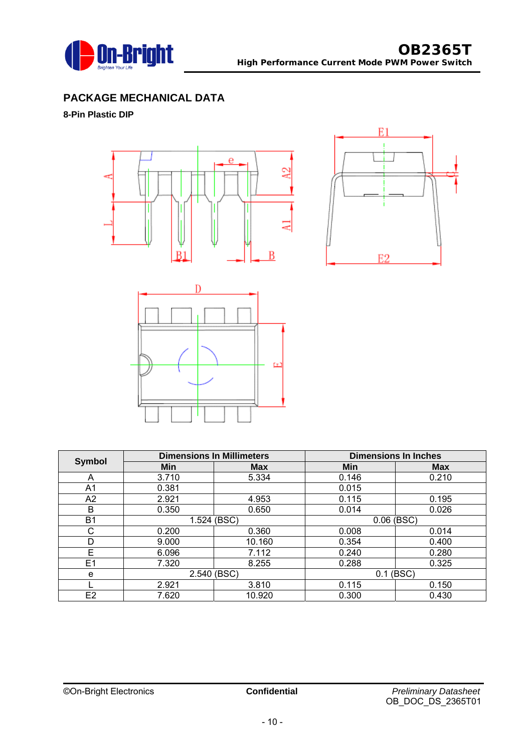

# **PACKAGE MECHANICAL DATA**

# **8-Pin Plastic DIP**







| <b>Symbol</b>  |             | <b>Dimensions In Millimeters</b> | <b>Dimensions In Inches</b> |            |  |
|----------------|-------------|----------------------------------|-----------------------------|------------|--|
|                | Min         | <b>Max</b>                       | Min                         | <b>Max</b> |  |
| A              | 3.710       | 5.334                            | 0.146                       | 0.210      |  |
| A1             | 0.381       |                                  | 0.015                       |            |  |
| A2             | 2.921       | 4.953                            | 0.115                       | 0.195      |  |
| B              | 0.350       | 0.650                            | 0.014                       | 0.026      |  |
| <b>B1</b>      |             | 1.524 (BSC)                      | $0.06$ (BSC)                |            |  |
| C              | 0.200       | 0.360                            | 0.008                       | 0.014      |  |
| D              | 9.000       | 10.160                           | 0.354                       | 0.400      |  |
| E.             | 6.096       | 7.112                            | 0.240                       | 0.280      |  |
| E1             | 7.320       | 8.255                            | 0.288                       | 0.325      |  |
| e              | 2.540 (BSC) |                                  | $0.1$ (BSC)                 |            |  |
|                | 2.921       | 3.810                            | 0.115                       | 0.150      |  |
| E <sub>2</sub> | 7.620       | 10.920                           | 0.300                       | 0.430      |  |